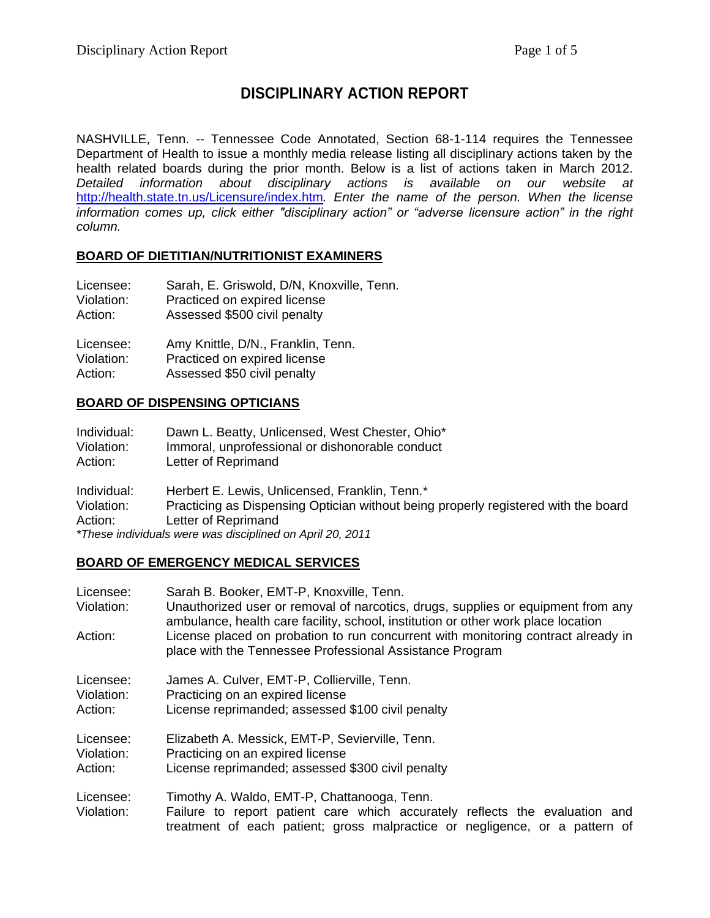## **DISCIPLINARY ACTION REPORT**

NASHVILLE, Tenn. -- Tennessee Code Annotated, Section 68-1-114 requires the Tennessee Department of Health to issue a monthly media release listing all disciplinary actions taken by the health related boards during the prior month. Below is a list of actions taken in March 2012. *Detailed information about disciplinary actions is available on our website at*  <http://health.state.tn.us/Licensure/index.htm>*. Enter the name of the person. When the license information comes up, click either "disciplinary action" or "adverse licensure action" in the right column.*

## **BOARD OF DIETITIAN/NUTRITIONIST EXAMINERS**

| Licensee:  | Sarah, E. Griswold, D/N, Knoxville, Tenn. |
|------------|-------------------------------------------|
| Violation: | Practiced on expired license              |
| Action:    | Assessed \$500 civil penalty              |
| Licensee:  | Amy Knittle, D/N., Franklin, Tenn.        |
| Violation: | Practiced on expired license              |
| Action:    | Assessed \$50 civil penalty               |

#### **BOARD OF DISPENSING OPTICIANS**

| Individual:                                               | Dawn L. Beatty, Unlicensed, West Chester, Ohio*                                    |  |
|-----------------------------------------------------------|------------------------------------------------------------------------------------|--|
| Violation:                                                | Immoral, unprofessional or dishonorable conduct                                    |  |
| Action:                                                   | Letter of Reprimand                                                                |  |
| Individual:                                               | Herbert E. Lewis, Unlicensed, Franklin, Tenn.*                                     |  |
| Violation:                                                | Practicing as Dispensing Optician without being properly registered with the board |  |
| Action:                                                   | Letter of Reprimand                                                                |  |
| *These individuals were was disciplined on April 20, 2011 |                                                                                    |  |

# **BOARD OF EMERGENCY MEDICAL SERVICES**

| Licensee:<br>Violation:            | Sarah B. Booker, EMT-P, Knoxville, Tenn.<br>Unauthorized user or removal of narcotics, drugs, supplies or equipment from any<br>ambulance, health care facility, school, institution or other work place location |
|------------------------------------|-------------------------------------------------------------------------------------------------------------------------------------------------------------------------------------------------------------------|
| Action:                            | License placed on probation to run concurrent with monitoring contract already in<br>place with the Tennessee Professional Assistance Program                                                                     |
| Licensee:<br>Violation:<br>Action: | James A. Culver, EMT-P, Collierville, Tenn.<br>Practicing on an expired license<br>License reprimanded; assessed \$100 civil penalty                                                                              |
| Licensee:<br>Violation:<br>Action: | Elizabeth A. Messick, EMT-P, Sevierville, Tenn.<br>Practicing on an expired license<br>License reprimanded; assessed \$300 civil penalty                                                                          |
| Licensee:<br>Violation:            | Timothy A. Waldo, EMT-P, Chattanooga, Tenn.<br>Failure to report patient care which accurately reflects the evaluation and<br>treatment of each patient; gross malpractice or negligence, or a pattern of         |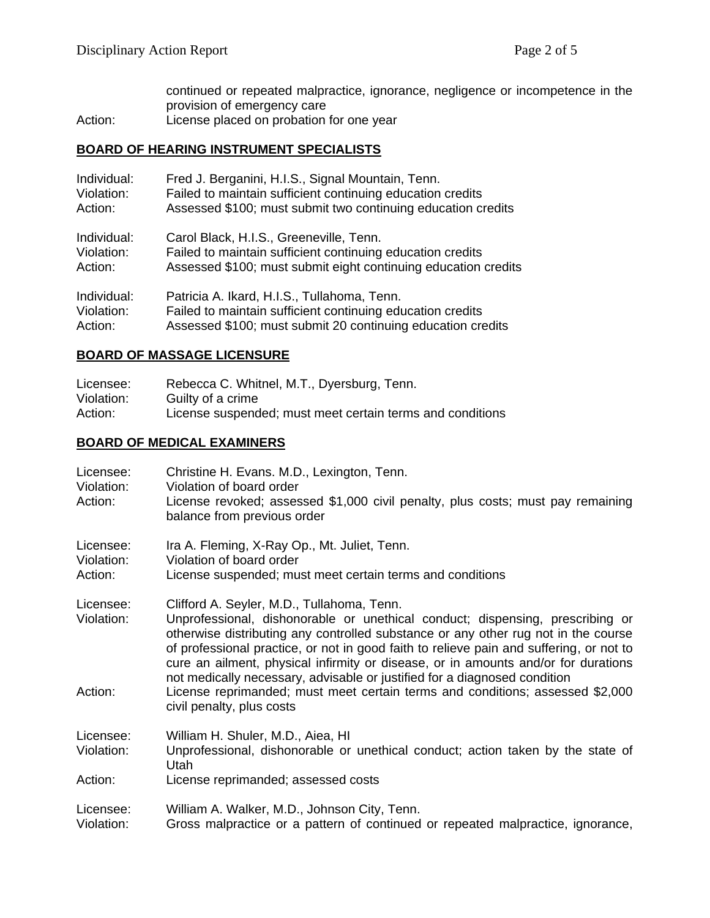continued or repeated malpractice, ignorance, negligence or incompetence in the provision of emergency care

Action: License placed on probation for one year

## **BOARD OF HEARING INSTRUMENT SPECIALISTS**

| Individual: | Fred J. Berganini, H.I.S., Signal Mountain, Tenn.              |
|-------------|----------------------------------------------------------------|
| Violation:  | Failed to maintain sufficient continuing education credits     |
| Action:     | Assessed \$100; must submit two continuing education credits   |
| Individual: | Carol Black, H.I.S., Greeneville, Tenn.                        |
| Violation:  | Failed to maintain sufficient continuing education credits     |
| Action:     | Assessed \$100; must submit eight continuing education credits |
| Individual: | Patricia A. Ikard, H.I.S., Tullahoma, Tenn.                    |
| Violation:  | Failed to maintain sufficient continuing education credits     |
| Action:     | Assessed \$100; must submit 20 continuing education credits    |

## **BOARD OF MASSAGE LICENSURE**

| Licensee:  | Rebecca C. Whitnel, M.T., Dyersburg, Tenn.                |
|------------|-----------------------------------------------------------|
| Violation: | Guilty of a crime                                         |
| Action:    | License suspended; must meet certain terms and conditions |

## **BOARD OF MEDICAL EXAMINERS**

| Licensee:<br>Violation:<br>Action: | Christine H. Evans. M.D., Lexington, Tenn.<br>Violation of board order<br>License revoked; assessed \$1,000 civil penalty, plus costs; must pay remaining<br>balance from previous order                                                                                                                                                                                                                                                                                                                                                                                                      |
|------------------------------------|-----------------------------------------------------------------------------------------------------------------------------------------------------------------------------------------------------------------------------------------------------------------------------------------------------------------------------------------------------------------------------------------------------------------------------------------------------------------------------------------------------------------------------------------------------------------------------------------------|
| Licensee:<br>Violation:<br>Action: | Ira A. Fleming, X-Ray Op., Mt. Juliet, Tenn.<br>Violation of board order<br>License suspended; must meet certain terms and conditions                                                                                                                                                                                                                                                                                                                                                                                                                                                         |
| Licensee:<br>Violation:<br>Action: | Clifford A. Seyler, M.D., Tullahoma, Tenn.<br>Unprofessional, dishonorable or unethical conduct; dispensing, prescribing or<br>otherwise distributing any controlled substance or any other rug not in the course<br>of professional practice, or not in good faith to relieve pain and suffering, or not to<br>cure an ailment, physical infirmity or disease, or in amounts and/or for durations<br>not medically necessary, advisable or justified for a diagnosed condition<br>License reprimanded; must meet certain terms and conditions; assessed \$2,000<br>civil penalty, plus costs |
| Licensee:<br>Violation:            | William H. Shuler, M.D., Aiea, HI<br>Unprofessional, dishonorable or unethical conduct; action taken by the state of<br>Utah                                                                                                                                                                                                                                                                                                                                                                                                                                                                  |
| Action:                            | License reprimanded; assessed costs                                                                                                                                                                                                                                                                                                                                                                                                                                                                                                                                                           |
| Licensee:<br>Violation:            | William A. Walker, M.D., Johnson City, Tenn.<br>Gross malpractice or a pattern of continued or repeated malpractice, ignorance,                                                                                                                                                                                                                                                                                                                                                                                                                                                               |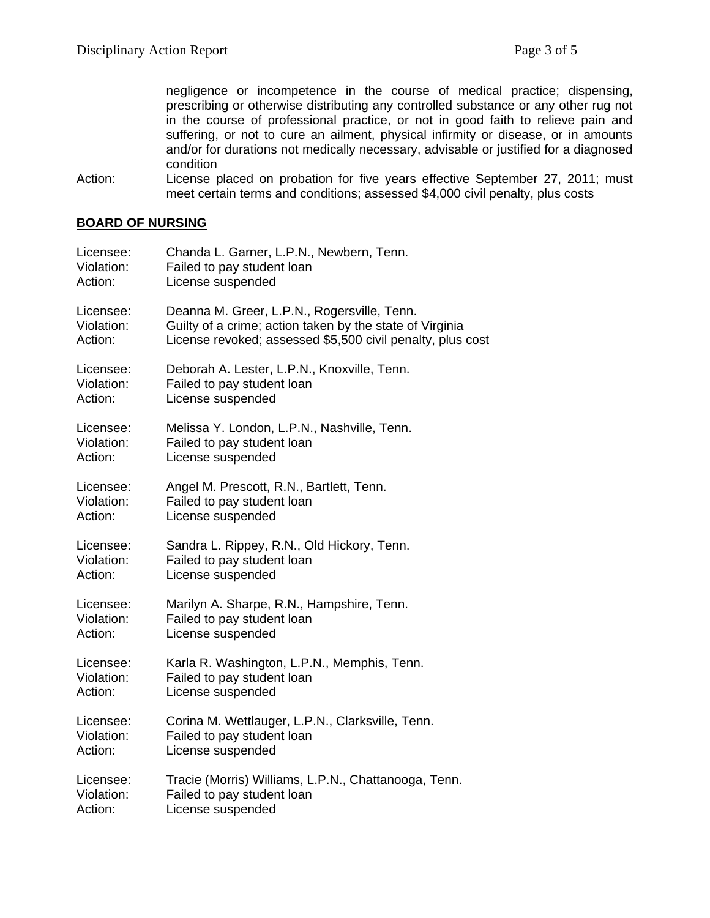negligence or incompetence in the course of medical practice; dispensing, prescribing or otherwise distributing any controlled substance or any other rug not in the course of professional practice, or not in good faith to relieve pain and suffering, or not to cure an ailment, physical infirmity or disease, or in amounts and/or for durations not medically necessary, advisable or justified for a diagnosed condition

Action: License placed on probation for five years effective September 27, 2011; must meet certain terms and conditions; assessed \$4,000 civil penalty, plus costs

#### **BOARD OF NURSING**

| Licensee:  | Chanda L. Garner, L.P.N., Newbern, Tenn.                   |
|------------|------------------------------------------------------------|
| Violation: | Failed to pay student loan                                 |
| Action:    | License suspended                                          |
| Licensee:  | Deanna M. Greer, L.P.N., Rogersville, Tenn.                |
| Violation: | Guilty of a crime; action taken by the state of Virginia   |
| Action:    | License revoked; assessed \$5,500 civil penalty, plus cost |
| Licensee:  | Deborah A. Lester, L.P.N., Knoxville, Tenn.                |
| Violation: | Failed to pay student loan                                 |
| Action:    | License suspended                                          |
| Licensee:  | Melissa Y. London, L.P.N., Nashville, Tenn.                |
| Violation: | Failed to pay student loan                                 |
| Action:    | License suspended                                          |
| Licensee:  | Angel M. Prescott, R.N., Bartlett, Tenn.                   |
| Violation: | Failed to pay student loan                                 |
| Action:    | License suspended                                          |
| Licensee:  | Sandra L. Rippey, R.N., Old Hickory, Tenn.                 |
| Violation: | Failed to pay student loan                                 |
| Action:    | License suspended                                          |
| Licensee:  | Marilyn A. Sharpe, R.N., Hampshire, Tenn.                  |
| Violation: | Failed to pay student loan                                 |
| Action:    | License suspended                                          |
| Licensee:  | Karla R. Washington, L.P.N., Memphis, Tenn.                |
| Violation: | Failed to pay student loan                                 |
| Action:    | License suspended                                          |
| Licensee:  | Corina M. Wettlauger, L.P.N., Clarksville, Tenn.           |
| Violation: | Failed to pay student loan                                 |
| Action:    | License suspended                                          |
| Licensee:  | Tracie (Morris) Williams, L.P.N., Chattanooga, Tenn.       |
| Violation: | Failed to pay student loan                                 |
| Action:    | License suspended                                          |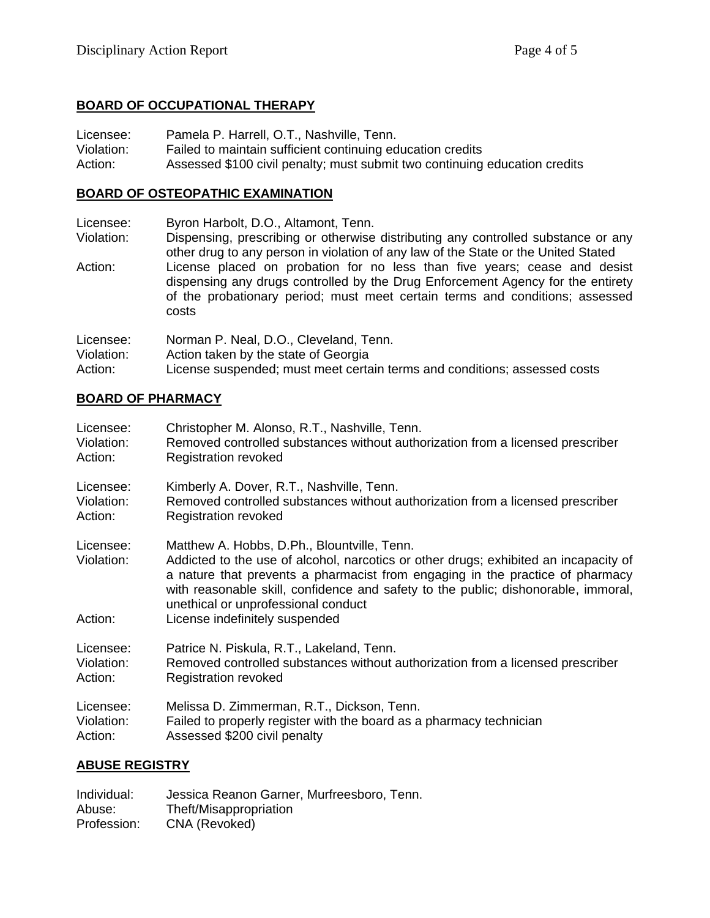## **BOARD OF OCCUPATIONAL THERAPY**

Licensee: Pamela P. Harrell, O.T., Nashville, Tenn. Violation: Failed to maintain sufficient continuing education credits Action: Assessed \$100 civil penalty; must submit two continuing education credits

#### **BOARD OF OSTEOPATHIC EXAMINATION**

| Licensee:                          | Byron Harbolt, D.O., Altamont, Tenn.                                                                                                                                                                                                                  |
|------------------------------------|-------------------------------------------------------------------------------------------------------------------------------------------------------------------------------------------------------------------------------------------------------|
| Violation:                         | Dispensing, prescribing or otherwise distributing any controlled substance or any<br>other drug to any person in violation of any law of the State or the United Stated                                                                               |
| Action:                            | License placed on probation for no less than five years; cease and desist<br>dispensing any drugs controlled by the Drug Enforcement Agency for the entirety<br>of the probationary period; must meet certain terms and conditions; assessed<br>costs |
| Licensee:<br>Violation:<br>Action: | Norman P. Neal, D.O., Cleveland, Tenn.<br>Action taken by the state of Georgia<br>License suspended; must meet certain terms and conditions; assessed costs                                                                                           |

#### **BOARD OF PHARMACY**

| Licensee:                          | Christopher M. Alonso, R.T., Nashville, Tenn.                                                                                                                                                                                                                                                                                                                                       |
|------------------------------------|-------------------------------------------------------------------------------------------------------------------------------------------------------------------------------------------------------------------------------------------------------------------------------------------------------------------------------------------------------------------------------------|
| Violation:                         | Removed controlled substances without authorization from a licensed prescriber                                                                                                                                                                                                                                                                                                      |
| Action:                            | Registration revoked                                                                                                                                                                                                                                                                                                                                                                |
| Licensee:                          | Kimberly A. Dover, R.T., Nashville, Tenn.                                                                                                                                                                                                                                                                                                                                           |
| Violation:                         | Removed controlled substances without authorization from a licensed prescriber                                                                                                                                                                                                                                                                                                      |
| Action:                            | Registration revoked                                                                                                                                                                                                                                                                                                                                                                |
| Licensee:<br>Violation:<br>Action: | Matthew A. Hobbs, D.Ph., Blountville, Tenn.<br>Addicted to the use of alcohol, narcotics or other drugs; exhibited an incapacity of<br>a nature that prevents a pharmacist from engaging in the practice of pharmacy<br>with reasonable skill, confidence and safety to the public; dishonorable, immoral,<br>unethical or unprofessional conduct<br>License indefinitely suspended |
| Licensee:                          | Patrice N. Piskula, R.T., Lakeland, Tenn.                                                                                                                                                                                                                                                                                                                                           |
| Violation:                         | Removed controlled substances without authorization from a licensed prescriber                                                                                                                                                                                                                                                                                                      |
| Action:                            | Registration revoked                                                                                                                                                                                                                                                                                                                                                                |
| Licensee:                          | Melissa D. Zimmerman, R.T., Dickson, Tenn.                                                                                                                                                                                                                                                                                                                                          |
| Violation:                         | Failed to properly register with the board as a pharmacy technician                                                                                                                                                                                                                                                                                                                 |
| Action:                            | Assessed \$200 civil penalty                                                                                                                                                                                                                                                                                                                                                        |
|                                    |                                                                                                                                                                                                                                                                                                                                                                                     |

#### **ABUSE REGISTRY**

| Individual: | Jessica Reanon Garner, Murfreesboro, Tenn. |
|-------------|--------------------------------------------|
| Abuse:      | Theft/Misappropriation                     |
| Profession: | CNA (Revoked)                              |